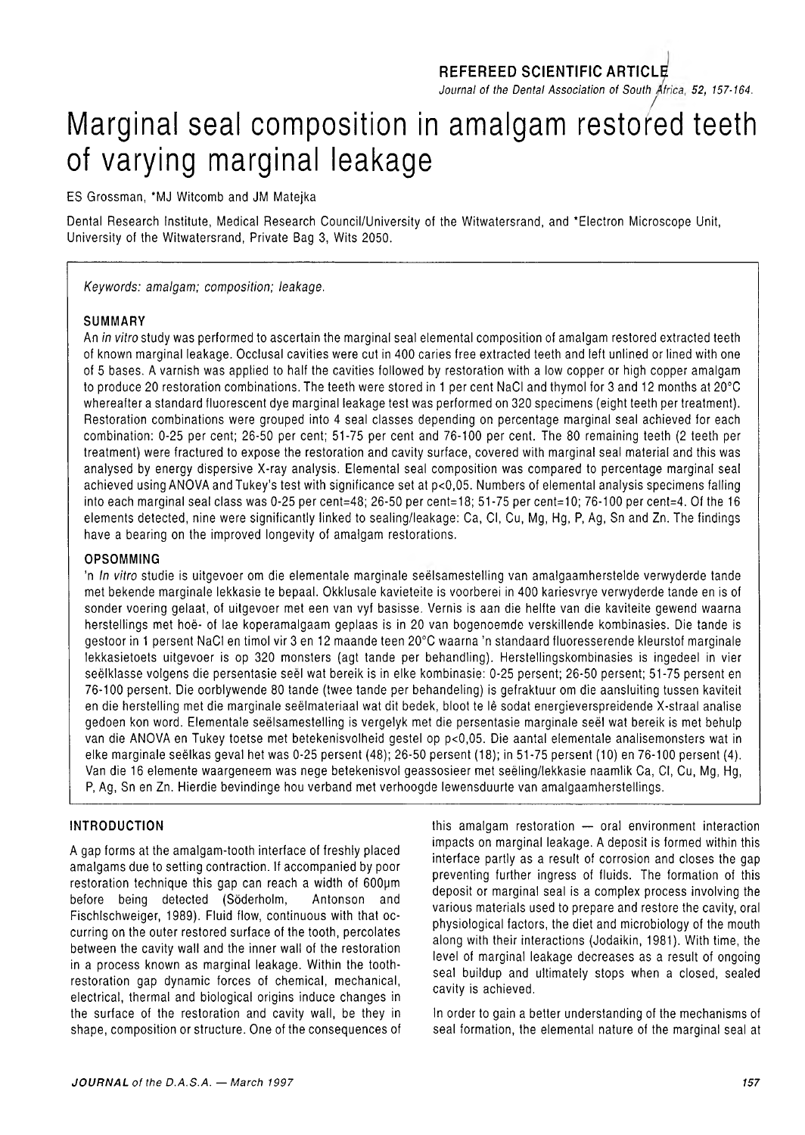### **REFEREED SCIENTIFIC ARTICLE**

Journal of the Dental Association of South Africa, 52, 157-164.

## */* Marginal seal composition in amalgam restored teeth of varying marginal leakage

ES Grossman, \*MJ Witcomb and JM Matejka

Dental Research Institute, Medical Research Council/University of the Witwatersrand, and ' Electron Microscope Unit, University of the Witwatersrand, Private Bag 3, Wits 2050.

*Keywords: amalgam; composition; leakage.*

#### **SUMMARY**

An *in vitro* study was performed to ascertain the marginal seal elemental composition of amalgam restored extracted teeth of known marginal leakage. Occlusal cavities were cut in 400 caries free extracted teeth and left unlined or lined with one of 5 bases. A varnish was applied to half the cavities followed by restoration with a low copper or high copper amalgam to produce 20 restoration combinations. The teeth were stored in 1 per cent NaCI and thymol for 3 and 12 months at 20°C whereafter a standard fluorescent dye marginal leakage test was performed on 320 specimens (eight teeth per treatment). Restoration combinations were grouped into 4 seal classes depending on percentage marginal seal achieved for each combination: 0-25 per cent; 26-50 per cent; 51-75 per cent and 76-100 per cent. The 80 remaining teeth (2 teeth per treatment) were fractured to expose the restoration and cavity surface, covered with marginal seal material and this was analysed by energy dispersive X-ray analysis. Elemental seal composition was compared to percentage marginal seal achieved using ANOVA and Tukey's test with significance set at p<0,05. Numbers of elemental analysis specimens falling into each marginal seal class was 0-25 per cent=48; 26-50 per cent=18; 51-75 per cent=10; 76-100 per cent=4. Of the 16 elements detected, nine were significantly linked to sealing/leakage: Ca, Cl, Cu, Mg, Hg, P, Ag, Sn and Zn. The findings have a bearing on the improved longevity of amalgam restorations.

#### **OPSOMMING**

'n *In vitro* studie is uitgevoer om die elementale marginale seelsamestelling van amalgaamherstelde verwyderde tande met bekende marginale lekkasie te bepaal. Okklusale kavieteite is voorberei in 400 kariesvrye verwyderde tande en is of sonder voering gelaat, of uitgevoer met een van vyf basisse. Vernis is aan die helfte van die kaviteite gewend waarna herstellings met hoe- of lae koperamalgaam geplaas is in 20 van bogenoemde verskillende kombinasies. Die tande is gestoor in 1 persent NaCI en timol vir 3 en 12 maande teen 20°C waarna 'n standaard fluoresserende kleurstof marginale lekkasietoets uitgevoer is op 320 monsters (agt tande per behandling). Herstellingskombinasies is ingedeel in vier seelklasse volgens die persentasie seel wat bereik is in elke kombinasie: 0-25 persent; 26-50 persent; 51-75 persent en 76-100 persent. Die oorblywende 80 tande (twee tande per behandeling) is gefraktuur om die aansluiting tussen kaviteit en die herstelling met die marginale seelmateriaal wat dit bedek, bloot te le sodat energieverspreidende X-straal analise gedoen kon word. Elementale seelsamestelling is vergelyk met die persentasie marginale seel wat bereik is met behulp van die ANOVA en Tukey toetse met betekenisvolheid gestel op p<0,05. Die aantal elementale analisemonsters wat in elke marginale seelkas geval het was 0-25 persent (48); 26-50 persent (18); in 51-75 persent (10) en 76-100 persent (4). Van die 16 elemente waargeneem was nege betekenisvol geassosieer met seeling/lekkasie naamlik Ca, Cl, Cu, Mg, Hg, P, Ag, Sn en Zn. Hierdie bevindinge hou verband met verhoogde lewensduurte van amalgaamherstellings.

#### **INTRODUCTION**

A gap forms at the amalgam-tooth interface of freshly placed amalgams due to setting contraction. If accompanied by poor restoration technique this gap can reach a width of 600um before being detected (Söderholm, Antonson and Fischlschweiger, 1989). Fluid flow, continuous with that occurring on the outer restored surface of the tooth, percolates between the cavity wall and the inner wall of the restoration in a process known as marginal leakage. Within the toothrestoration gap dynamic forces of chemical, mechanical, electrical, thermal and biological origins induce changes in the surface of the restoration and cavity wall, be they in shape, composition or structure. One of the consequences of this amalgam restoration — oral environment interaction impacts on marginal leakage. A deposit is formed within this interface partly as a result of corrosion and closes the gap preventing further ingress of fluids. The formation of this deposit or marginal seal is a complex process involving the various materials used to prepare and restore the cavity, oral physiological factors, the diet and microbiology of the mouth along with their interactions (Jodaikin, 1981). With time, the level of marginal leakage decreases as a result of ongoing seal buildup and ultimately stops when a closed, sealed cavity is achieved.

In order to gain a better understanding of the mechanisms of seal formation, the elemental nature of the marginal seal at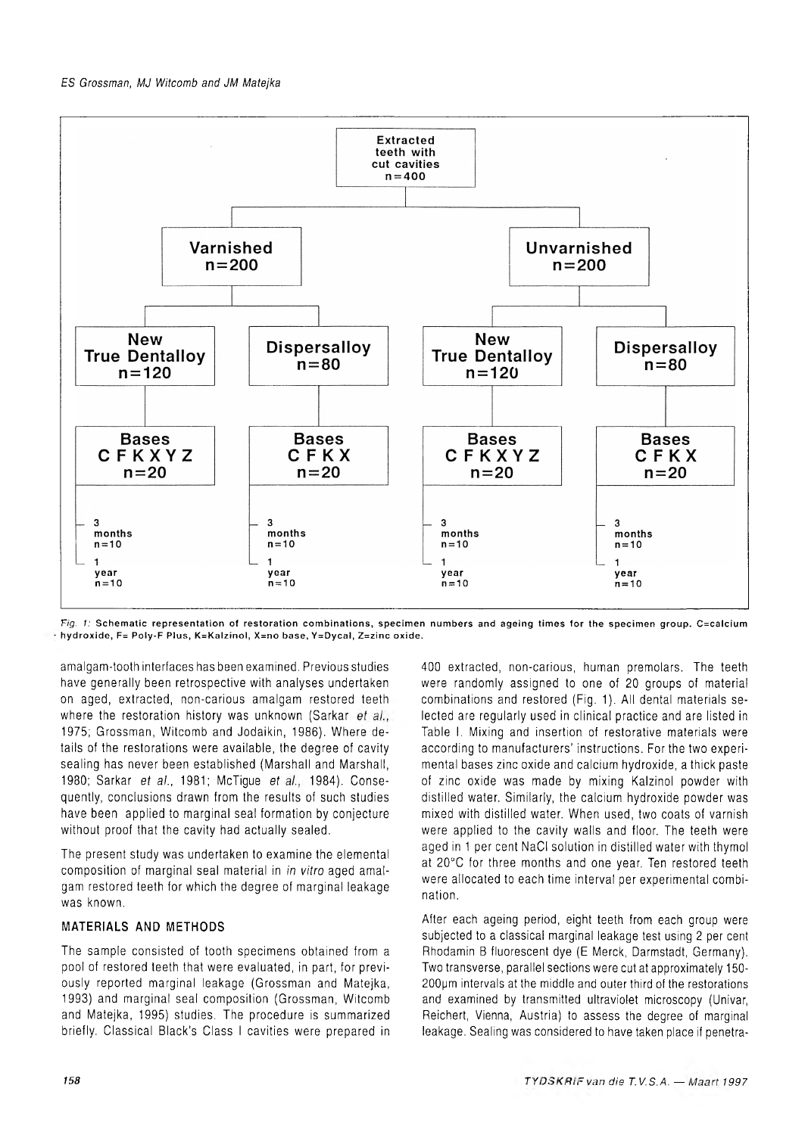

*Fig. 1:* Schematic representation of restoration combinations, specimen numbers and ageing times for the specimen group. C=calcium **h yd roxide, F= Poly-F Plus, K =K alzinol, X =no base, Y =D ycal, Z=zinc oxide.**

amalgam-tooth interfaces has been examined. Previous studies have generally been retrospective with analyses undertaken on aged, extracted, non-carious amalgam restored teeth where the restoration history was unknown (Sarkar et al., 1975; Grossman, Witcomb and Jodaikin, 1986). Where details of the restorations were available, the degree of cavity sealing has never been established (Marshall and Marshall, 1980; Sarkar *et al.*, 1981; McTigue *et al.*, 1984). Consequently, conclusions drawn from the results of such studies have been applied to marginal seal formation by conjecture without proof that the cavity had actually sealed.

The present study was undertaken to examine the elemental composition of marginal seal material in *in vitro* aged amalgam restored teeth for which the degree of marginal leakage was known.

#### **MATERIALS AND METHODS**

The sample consisted of tooth specimens obtained from a pool of restored teeth that were evaluated, in part, for previously reported marginal leakage (Grossman and Matejka, 1993) and marginal seal composition (Grossman, Witcomb and Matejka, 1995) studies. The procedure is summarized briefly. Classical Black's Class I cavities were prepared in 400 extracted, non-carious, human premolars. The teeth were randomly assigned to one of 20 groups of material combinations and restored (Fig. 1). All dental materials selected are regularly used in clinical practice and are listed in Table I. Mixing and insertion of restorative materials were according to manufacturers' instructions. For the two experimental bases zinc oxide and calcium hydroxide, a thick paste of zinc oxide was made by mixing Kalzinol powder with distilled water. Similarly, the calcium hydroxide powder was mixed with distilled water. When used, two coats of varnish were applied to the cavity walls and floor. The teeth were aged in 1 per cent NaCI solution in distilled water with thymol at 20°C for three months and one year. Ten restored teeth were allocated to each time interval per experimental combination.

After each ageing period, eight teeth from each group were subjected to a classical marginal leakage test using 2 per cent Rhodamin B fluorescent dye (E Merck, Darmstadt, Germany). Two transverse, parallel sections were cut at approximately 150- 200pm intervals at the middle and outer third of the restorations and examined by transmitted ultraviolet microscopy (Univar, Reichert, Vienna, Austria) to assess the degree of marginal leakage. Sealing was considered to have taken place if penetra-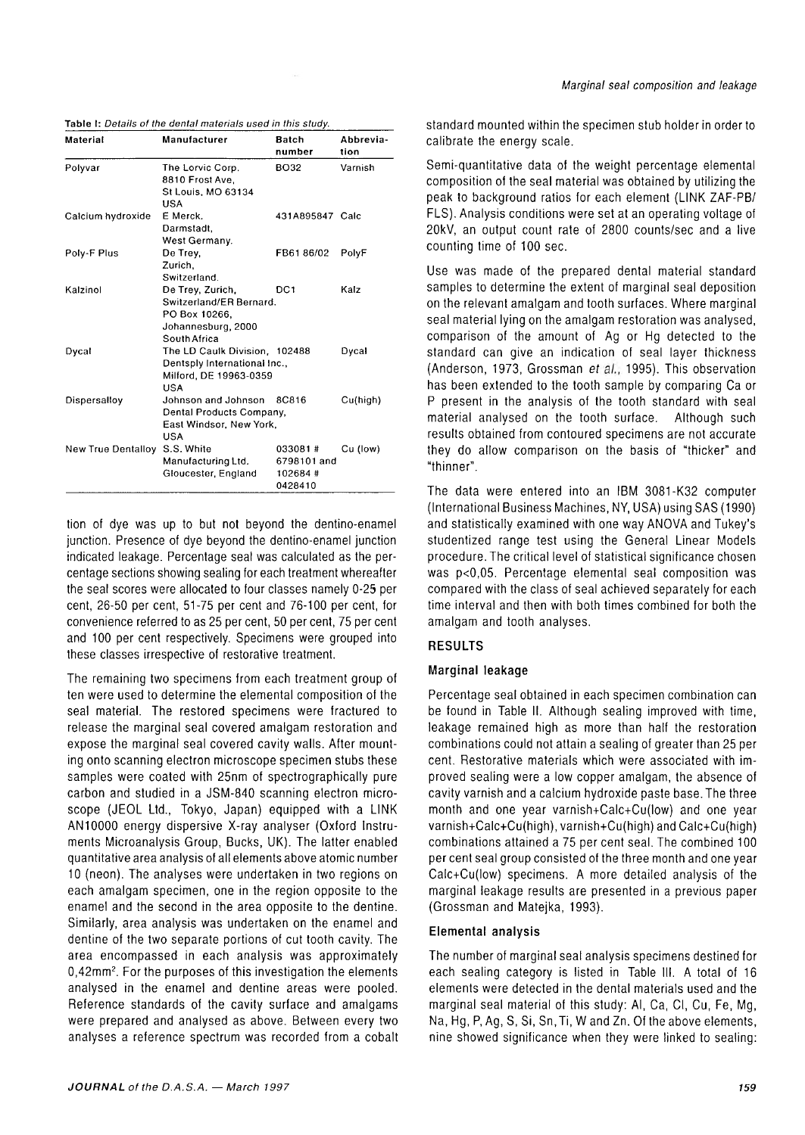| Table I: Details of the dental materials used in this study. |
|--------------------------------------------------------------|
|                                                              |

| Material           | Manufacturer                                                                                       | <b>Batch</b><br>number                       | Abbrevia-<br>tion |
|--------------------|----------------------------------------------------------------------------------------------------|----------------------------------------------|-------------------|
| Polyvar            | The Lorvic Corp.<br>8810 Frost Ave.<br>St Louis, MO 63134<br>USA                                   | <b>BO32</b>                                  | Varnish           |
| Calcium hydroxide  | E Merck.<br>Darmstadt.<br>West Germany.                                                            | 431A895847 Calc                              |                   |
| Poly-F Plus        | De Trey,<br>Zurich.<br>Switzerland.                                                                | FB6186/02                                    | PolyF             |
| Kalzinol           | De Trey, Zurich,<br>Switzerland/ER Bernard.<br>PO Box 10266,<br>Johannesburg, 2000<br>South Africa | DC <sub>1</sub>                              | Kalz              |
| Dycal              | The LD Caulk Division, 102488<br>Dentsply International Inc.,<br>Milford, DE 19963-0359<br>USA     |                                              | Dycal             |
| Dispersalloy       | Johnson and Johnson<br>Dental Products Company,<br>East Windsor, New York,<br>USA                  | 8C816                                        | Cu(high)          |
| New True Dentalloy | S.S. White<br>Manufacturing Ltd.<br>Gloucester, England                                            | 033081#<br>6798101 and<br>102684#<br>0428410 | Cu (low)          |

tion of dye was up to but not beyond the dentino-enamel junction. Presence of dye beyond the dentino-enamel junction indicated leakage. Percentage seal was calculated as the percentage sections showing sealing for each treatment whereafter the seal scores were allocated to four classes namely 0-25 per cent, 26-50 per cent, 51-75 per cent and 76-100 per cent, for convenience referred to as 25 per cent, 50 per cent, 75 per cent and 100 per cent respectively. Specimens were grouped into these classes irrespective of restorative treatment.

The remaining two specimens from each treatment group of ten were used to determine the elemental composition of the seal material. The restored specimens were fractured to release the marginal seal covered amalgam restoration and expose the marginal seal covered cavity walls. After mounting onto scanning electron microscope specimen stubs these samples were coated with 25nm of spectrographically pure carbon and studied in a JSM-840 scanning electron microscope (JEOL Ltd., Tokyo, Japan) equipped with a LINK AN10000 energy dispersive X-ray analyser (Oxford Instruments Microanalysis Group, Bucks, UK). The latter enabled quantitative area analysis of all elements above atomic number 10 (neon). The analyses were undertaken in two regions on each amalgam specimen, one in the region opposite to the enamel and the second in the area opposite to the dentine. Similarly, area analysis was undertaken on the enamel and dentine of the two separate portions of cut tooth cavity. The area encompassed in each analysis was approximately 0,42mm2. For the purposes of this investigation the elements analysed in the enamel and dentine areas were pooled. Reference standards of the cavity surface and amalgams were prepared and analysed as above. Between every two analyses a reference spectrum was recorded from a cobalt standard mounted within the specimen stub holder in order to calibrate the energy scale.

Semi-quantitative data of the weight percentage elemental composition of the seal material was obtained by utilizing the peak to background ratios for each element (LINK ZAF-PB/ FLS). Analysis conditions were set at an operating voltage of 20kV, an output count rate of 2800 counts/sec and a live counting time of 100 sec.

Use was made of the prepared dental material standard samples to determine the extent of marginal seal deposition on the relevant amalgam and tooth surfaces. Where marginal seal material lying on the amalgam restoration was analysed, comparison of the amount of Ag or Hg detected to the standard can give an indication of seal layer thickness (Anderson, 1973, Grossman et al., 1995). This observation has been extended to the tooth sample by comparing Ca or P present in the analysis of the tooth standard with seal material analysed on the tooth surface. Although such results obtained from contoured specimens are not accurate they do allow comparison on the basis of "thicker" and "thinner".

The data were entered into an IBM 3081-K32 computer (International Business Machines, NY, USA) using SAS (1990) and statistically examined with one way ANOVA and Tukey's studentized range test using the General Linear Models procedure. The critical level of statistical significance chosen was p<0,05. Percentage elemental seal composition was compared with the class of seal achieved separately for each time interval and then with both times combined for both the amalgam and tooth analyses.

#### **RESULTS**

#### **Marginal leakage**

Percentage seal obtained in each specimen combination can be found in Table II. Although sealing improved with time, leakage remained high as more than half the restoration combinations could not attain a sealing of greater than 25 per cent. Restorative materials which were associated with improved sealing were a low copper amalgam, the absence of cavity varnish and a calcium hydroxide paste base. The three month and one year varnish+Calc+Cu(low) and one year varnish+Calc+Cu(high), varnish+Cu(high) and Calc+Cu(high) combinations attained a 75 per cent seal. The combined 100 per cent seal group consisted of the three month and one year Calc+Cu(low) specimens. A more detailed analysis of the marginal leakage results are presented in a previous paper (Grossman and Matejka, 1993).

#### **Elemental analysis**

The number of marginal seal analysis specimens destined for each sealing category is listed in Table III. A total of 16 elements were detected in the dental materials used and the marginal seal material of this study: Al, Ca, Cl, Cu, Fe, Mg, Na, Hg, P, Ag, S, Si, Sn, Ti, W and Zn. Of the above elements, nine showed significance when they were linked to sealing: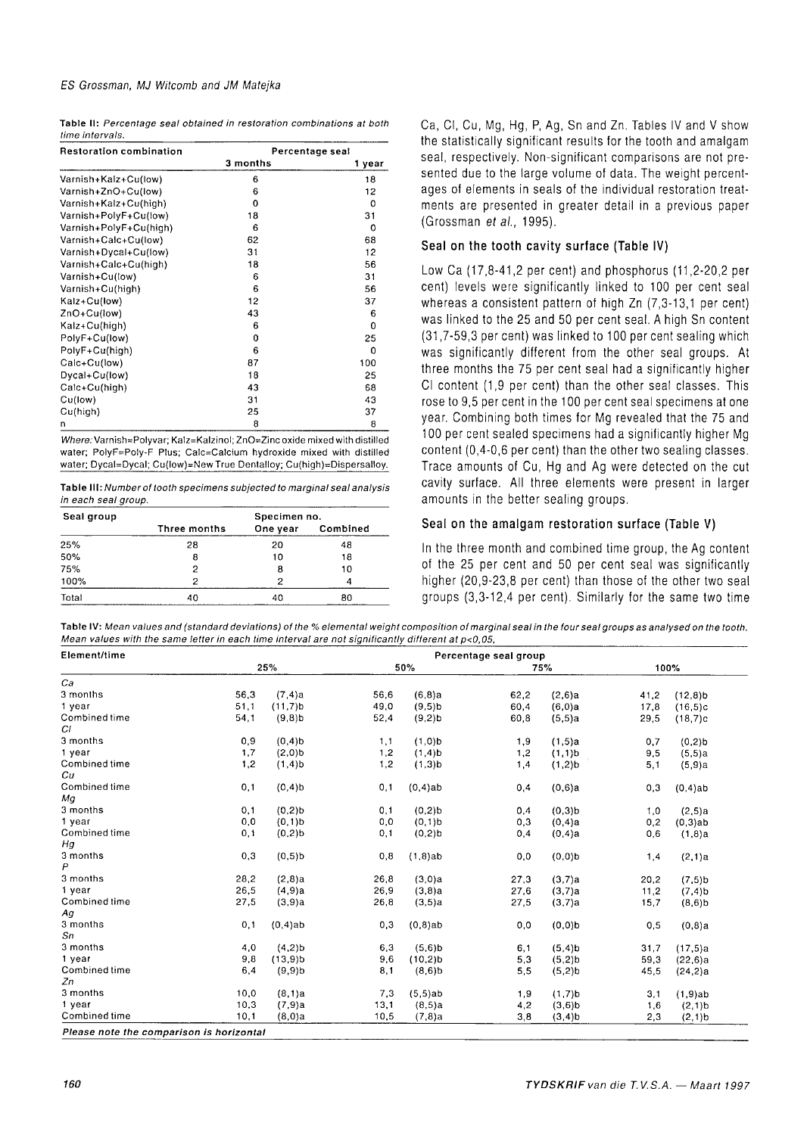| Table II: Percentage seal obtained in restoration combinations at both |  |
|------------------------------------------------------------------------|--|
| time intervals.                                                        |  |

| <b>Restoration combination</b> |          | Percentage seal |
|--------------------------------|----------|-----------------|
|                                | 3 months | 1 year          |
| Varnish+Kalz+Cu(low)           | 6        | 18              |
| Varnish+ZnO+Cu(low)            | 6        | 12              |
| Varnish+Kalz+Cu(high)          | 0        | 0               |
| Varnish+PolyF+Cu(low)          | 18       | 31              |
| Varnish+PolyF+Cu(high)         | 6        | 0               |
| Varnish+Calc+Cu(low)           | 62       | 68              |
| Varnish+Dycal+Cu(low)          | 31       | 12              |
| Varnish+Calc+Cu(high)          | 18       | 56              |
| Varnish+Cu(low)                | 6        | 31              |
| Varnish+Cu(high)               | 6        | 56              |
| Kalz+Cu(low)                   | 12       | 37              |
| ZnO+Cu(low)                    | 43       | 6               |
| Kalz+Cu(high)                  | 6        | $\Omega$        |
| PolyF+Cu(low)                  | 0        | 25              |
| PolyF+Cu(high)                 | 6        | $\Omega$        |
| Calc+Cu(low)                   | 87       | 100             |
| Dycal+Cu(low)                  | 18       | 25              |
| Calc+Cu(high)                  | 43       | 68              |
| Cu(low)                        | 31       | 43              |
| Cu(high)                       | 25       | 37              |
| n                              | 8        | 8               |

*Where:* Varnish=Polyvar; Kalz=Kalzinol; ZnO=Zinc oxide mixed with distilled water; PolyF=Poly-F Plus; Calc=Calcium hydroxide mixed with distilled water; Dycal=Dycal; Cu(low)=New True Dentalloy; Cu(high)=Dispersalloy.

Table III: Number of tooth specimens subjected to marginal seal analysis *in each seal group.* 

| Seal group | Specimen no. |          |          |  |  |  |  |
|------------|--------------|----------|----------|--|--|--|--|
|            | Three months | One year | Combined |  |  |  |  |
| 25%        | 28           | 20       | 48       |  |  |  |  |
| 50%        | 8            | 10       | 18       |  |  |  |  |
| 75%        |              | 8        | 10       |  |  |  |  |
| 100%       | ົ            | 2        |          |  |  |  |  |
| Total      | 40           |          | 80       |  |  |  |  |

Ca, Cl, Cu, Mg, Hg, P, Ag, Sn and Zn. Tables IV and V show the statistically significant results for the tooth and amalgam seal, respectively. Non-significant comparisons are not presented due to the large volume of data. The weight percentages of elements in seals of the individual restoration treatments are presented in greater detail in a previous paper (Grossman *et al.,* 1995).

#### **Seal on the tooth cavity surface (Table IV)**

Low Ca (17,8-41,2 per cent) and phosphorus (11,2-20,2 per cent) levels were significantly linked to 100 per cent seal whereas a consistent pattern of high Zn (7,3-13,1 per cent) was linked to the 25 and 50 per cent seal. A high Sn content (31,7-59,3 per cent) was linked to 100 per cent sealing which was significantly different from the other seal groups. At three months the 75 per cent seal had a significantly higher Cl content (1,9 per cent) than the other seal classes. This rose to 9,5 per cent in the 100 per cent seal specimens at one year. Combining both times for Mg revealed that the 75 and 100 per cent sealed specimens had a significantly higher Mg content (0,4-0,6 per cent) than the other two sealing classes. Trace amounts of Cu, Hg and Ag were detected on the cut cavity surface. All three elements were present in larger amounts in the better sealing groups.

#### **Seal on the amalgam restoration surface (Table V)**

In the three month and combined time group, the Ag content of the 25 per cent and 50 per cent seal was significantly higher (20,9-23,8 per cent) than those of the other two seal groups (3,3-12,4 per cent). Similarly for the same two time

Table IV: Mean values and (standard deviations) of the % elemental weight composition of marginal seal in the four seal groups as analysed on the tooth. *Mean values with the same letter in each time interval are not significantly different at p<0,05,* 

| Element/time  | Percentage seal group |                       |      |                      |      |                       |      |                       |
|---------------|-----------------------|-----------------------|------|----------------------|------|-----------------------|------|-----------------------|
|               | 25%                   |                       | 50%  |                      | 75%  |                       | 100% |                       |
| Ca            |                       |                       |      |                      |      |                       |      |                       |
| 3 months      | 56,3                  | $(7, 4)$ a            | 56,6 | (6,8)a               | 62.2 | (2,6)a                | 41,2 | $(12,8)$ <sub>b</sub> |
| 1 year        | 51,1                  | $(11,7)$ b            | 49,0 | $(9,5)$ <sub>b</sub> | 60,4 | (6,0)a                | 17,8 | (16, 5)c              |
| Combined time | 54,1                  | $(9,8)$ b             | 52,4 | $(9,2)$ <sub>b</sub> | 60,8 | (5,5)a                | 29,5 | (18,7)c               |
| CI.           |                       |                       |      |                      |      |                       |      |                       |
| 3 months      | 0,9                   | $(0,4)$ b             | 1.1  | $(1,0)$ <sub>b</sub> | 1,9  | $(1, 5)$ a            | 0,7  | $(0,2)$ <sub>b</sub>  |
| 1 year        | 1,7                   | (2,0)b                | 1,2  | $(1,4)$ b            | 1,2  | $(1,1)$ <b>b</b>      | 9,5  | (5,5)a                |
| Combined time | 1,2                   | $(1,4)$ b             | 1,2  | $(1,3)$ b            | 1,4  | $(1,2)$ <sub>b</sub>  | 5,1  | (5,9)a                |
| Cu            |                       |                       |      |                      |      |                       |      |                       |
| Combined time | 0,1                   | $(0, 4)$ b            | 0,1  | $(0,4)$ ab           | 0,4  | (0,6)a                | 0,3  | $(0,4)$ ab            |
| Мg            |                       |                       |      |                      |      |                       |      |                       |
| 3 months      | 0,1                   | $(0,2)$ <sub>b</sub>  | 0, 1 | $(0,2)$ <sub>b</sub> | 0,4  | $(0,3)$ <sub>b</sub>  | 1.0  | $(2, 5)$ a            |
| 1 year        | 0, 0                  | $(0, 1)$ <sub>b</sub> | 0,0  | $(0,1)$ <sub>b</sub> | 0,3  | $(0, 4)$ a            | 0.2  | $(0,3)$ ab            |
| Combined time | 0,1                   | $(0,2)$ b             | 0,1  | $(0,2)$ <sub>b</sub> | 0,4  | $(0,4)$ a             | 0,6  | $(1,8)$ a             |
| Hq            |                       |                       |      |                      |      |                       |      |                       |
| 3 months      | 0,3                   | $(0,5)$ <sub>b</sub>  | 0,8  | $(1,8)$ ab           | 0,0  | $(0, 0)$ <sub>b</sub> | 1,4  | (2,1)a                |
| P             |                       |                       |      |                      |      |                       |      |                       |
| 3 months      | 28,2                  | (2,8)a                | 26,8 | (3,0)a               | 27,3 | (3,7)a                | 20,2 | $(7, 5)$ <sub>b</sub> |
| 1 year        | 26,5                  | $(4,9)$ a             | 26,9 | (3,8)a               | 27,6 | (3,7)a                | 11,2 | $(7, 4)$ <sub>b</sub> |
| Combined time | 27,5                  | $(3,9)$ a             | 26,8 | (3,5)a               | 27,5 | (3,7)a                | 15,7 | $(8,6)$ b             |
| Ag            |                       |                       |      |                      |      |                       |      |                       |
| 3 months      | 0,1                   | $(0,4)$ ab            | 0,3  | $(0,8)$ ab           | 0,0  | $(0, 0)$ <sub>b</sub> | 0,5  | (0,8)a                |
| Sn            |                       |                       |      |                      |      |                       |      |                       |
| 3 months      | 4,0                   | $(4,2)$ <sub>b</sub>  | 6,3  | $(5,6)$ b            | 6,1  | $(5,4)$ b             | 31,7 | (17, 5)a              |
| 1 year        | 9,8                   | $(13,9)$ b            | 9,6  | $(10,2)$ b           | 5.3  | $(5,2)$ <sub>b</sub>  | 59,3 | (22,6)a               |
| Combined time | 6,4                   | $(9,9)$ <sub>b</sub>  | 8,1  | $(8,6)$ b            | 5,5  | $(5,2)$ b             | 45,5 | (24,2)a               |
| Zn            |                       |                       |      |                      |      |                       |      |                       |
| 3 months      | 10,0                  | (8,1)a                | 7,3  | (5,5)ab              | 1.9  | $(1,7)$ b             | 3,1  | $(1,9)$ ab            |
| 1 year        | 10,3                  | $(7,9)$ a             | 13.1 | (8,5)a               | 4,2  | $(3,6)$ <sub>b</sub>  | 1,6  | $(2,1)$ b             |
| Combined time | 10.1                  | (8,0)a                | 10.5 | $(7,8)$ a            | 3,8  | $(3,4)$ <sub>b</sub>  | 2,3  | $(2,1)$ <sub>b</sub>  |

*Please note the comparison is horizontal*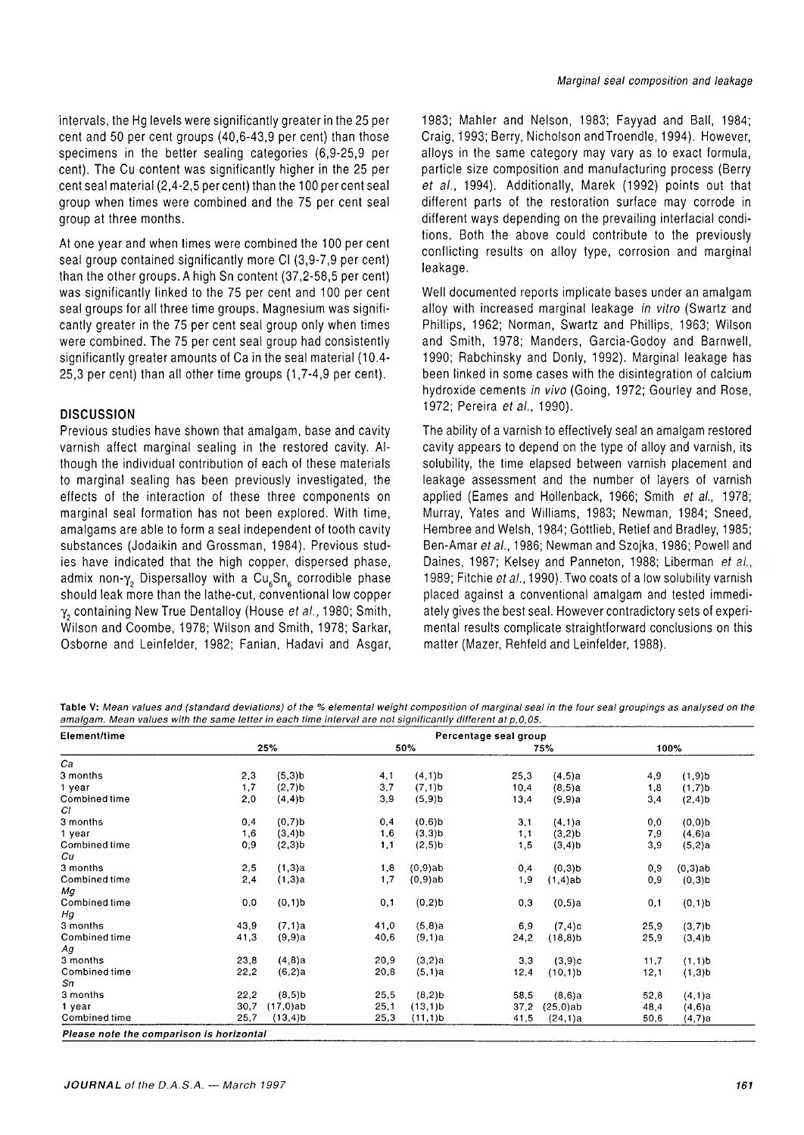intervals, the Hg levels were significantly greater in the 25 per cent and 50 per cent groups (40,6-43,9 per cent) than those specimens in the better sealing categories (6,9-25,9 per cent). The Cu content was significantly higher in the 25 per cent seal material (2,4-2,5 per cent) than the 100 per cent seal group when times were combined and the 75 per cent seal group at three months.

At one year and when times were combined the 100 per cent seal group contained significantly more Cl (3,9-7,9 per cent) than the other groups. A high Sn content (37,2-58,5 per cent) was significantly linked to the 75 per cent and 100 per cent seal groups for all three time groups. Magnesium was significantly greater in the 75 per cent seal group only when times were combined. The 75 per cent seal group had consistently significantly greater amounts of Ca in the seal material (10.4- 25,3 per cent) than all other time groups (1,7-4,9 per cent).

#### **DISCUSSION**

Previous studies have shown that amalgam, base and cavity varnish affect marginal sealing in the restored cavity. Although the individual contribution of each of these materials to marginal sealing has been previously investigated, the effects of the interaction of these three components on marginal seal formation has not been explored. With time, amalgams are able to form a seal independent of tooth cavity substances (Jodaikin and Grossman, 1984). Previous studies have indicated that the high copper, dispersed phase, admix non- $\gamma$ , Dispersalloy with a Cu<sub>6</sub>Sn<sub>6</sub> corrodible phase should leak more than the lathe-cut, conventional low copper γ<sub>2</sub> containing New True Dentalloy (House *et al.*, 1980; Smith, Wilson and Coombe, 1978; Wilson and Smith, 1978; Sarkar, Osborne and Leinfelder, 1982; Fanian, Hadavi and Asgar, 1983; Mahler and Nelson, 1983; Fayyad and Ball, 1984; Craig, 1993; Berry, Nicholson andTroendle, 1994). However, alloys in the same category may vary as to exact formula, particle size composition and manufacturing process (Berry *et al.,* 1994). Additionally, Marek (1992) points out that different parts of the restoration surface may corrode in different ways depending on the prevailing interfacial conditions. Both the above could contribute to the previously conflicting results on alloy type, corrosion and marginal leakage.

Well documented reports implicate bases under an amalgam alloy with increased marginal leakage *in vitro* (Swartz and Phillips, 1962; Norman, Swartz and Phillips, 1963; Wilson and Smith, 1978; Manders, Garcia-Godoy and Barnwell, 1990; Rabchinsky and Donly, 1992). Marginal leakage has been linked in some cases with the disintegration of calcium hydroxide cements *in vivo* (Going, 1972; Gourley and Rose, 1972; Pereira *et al.,* 1990).

The ability of a varnish to effectively seal an amalgam restored cavity appears to depend on the type of alloy and varnish, its solubility, the time elapsed between varnish placement and leakage assessment and the number of layers of varnish applied (Eames and Hollenback, 1966; Smith *et al.,* 1978; Murray, Yates and Williams, 1983; Newman, 1984; Sneed, Hembree and Welsh, 1984; Gottlieb, Retief and Bradley, 1985; Ben-Amar *eta!.,* 1986; Newman and Szojka, 1986; Powell and Daines, 1987; Kelsey and Panneton, 1988; Liberman et al., 1989; Fitchie *et al.,*1990). Two coats of a low solubility varnish placed against a conventional amalgam and tested immediately gives the best seal. However contradictory sets of experimental results complicate straightforward conclusions on this matter (Mazer, Rehfeld and Leinfelder, 1988).

Table V: Mean values and (standard deviations) of the % elemental weight composition of marginal seal in the four seal groupings as analysed on the amalgam. Mean values with the same letter in each time interval are not significantly different at p,0,05.

| Element/time                             | Percentage seal group |                      |      |                      |      |             |      |                      |
|------------------------------------------|-----------------------|----------------------|------|----------------------|------|-------------|------|----------------------|
|                                          | 25%                   |                      | 50%  |                      | 75%  |             |      | 100%                 |
| Ca                                       |                       |                      |      |                      |      |             |      |                      |
| 3 months                                 | 2,3                   | $(5,3)$ <sub>b</sub> | 4,1  | $(4,1)$ <sub>b</sub> | 25,3 | (4,5)a      | 4,9  | $(1,9)$ b            |
| 1 year                                   | 1,7                   | $(2,7)$ <sub>b</sub> | 3,7  | $(7,1)$ b            | 10,4 | (8,5)a      | 1,8  | $(1,7)$ b            |
| Combined time                            | 2,0                   | $(4, 4)$ b           | 3,9  | $(5,9)$ <sub>b</sub> | 13,4 | (9,9)a      | 3,4  | $(2,4)$ b            |
| СI                                       |                       |                      |      |                      |      |             |      |                      |
| 3 months                                 | 0,4                   | $(0,7)$ b            | 0,4  | $(0,6)$ b            | 3,1  | (4,1)a      | 0, 0 | $(0,0)$ <sub>b</sub> |
| 1 year                                   | 1,6                   | $(3,4)$ b            | 1,6  | $(3,3)$ b            | 1,1  | $(3,2)$ b   | 7,9  | (4,6)a               |
| Combined time                            | 0,9                   | $(2,3)$ <sub>b</sub> | 1,1  | $(2,5)$ b            | 1,5  | $(3, 4)$ b  | 3,9  | (5,2)a               |
| Cu                                       |                       |                      |      |                      |      |             |      |                      |
| 3 months                                 | 2,5                   | (1,3)a               | 1,8  | (0,9)ab              | 0,4  | $(0,3)$ b   | 0,9  | $(0,3)$ ab           |
| Combined time                            | 2,4                   | (1,3)a               | 1,7  | $(0,9)$ ab           | 1,9  | $(1,4)$ ab  | 0,9  | $(0,3)$ <sub>b</sub> |
| Mg                                       |                       |                      |      |                      |      |             |      |                      |
| Combined time                            | 0,0                   | $(0,1)$ <sub>b</sub> | 0,1  | $(0,2)$ <sub>b</sub> | 0,3  | $(0,5)$ a   | 0,1  | $(0.1)$ b            |
| Hg                                       |                       |                      |      |                      |      |             |      |                      |
| 3 months                                 | 43,9                  | (7,1)a               | 41,0 | (5,8)a               | 6,9  | (7, 4)c     | 25,9 | $(3,7)$ <sub>b</sub> |
| Combined time                            | 41,3                  | (9,9)a               | 40,6 | (9,1)a               | 24,2 | $(18, 8)$ b | 25,9 | $(3,4)$ b            |
| Аg                                       |                       |                      |      |                      |      |             |      |                      |
| 3 months                                 | 23,8                  | $(4,8)$ a            | 20,9 | (3,2)a               | 3,3  | (3,9)c      | 11,7 | $(1,1)$ b            |
| Combined time                            | 22,2                  | (6,2)a               | 20,8 | (5, 1)a              | 12,4 | (10, 1)b    | 12,1 | $(1,3)$ <sub>b</sub> |
| Sn                                       |                       |                      |      |                      |      |             |      |                      |
| 3 months                                 | 22,2                  | $(8,5)$ b            | 25,5 | $(8,2)$ <sub>b</sub> | 58,5 | (8,6)a      | 52,8 | (4,1)a               |
| 1 year                                   | 30,7                  | (17,0)ab             | 25,1 | (13,1)b              | 37,2 | $(25,0)$ ab | 48,4 | (4,6)a               |
| Combined time                            | 25.7                  | (13,4)b              | 25,3 | (11,1)b              | 41,5 | (24, 1)a    | 50,6 | $(4,7)$ a            |
| Please note the comparison is horizontal |                       |                      |      |                      |      |             |      |                      |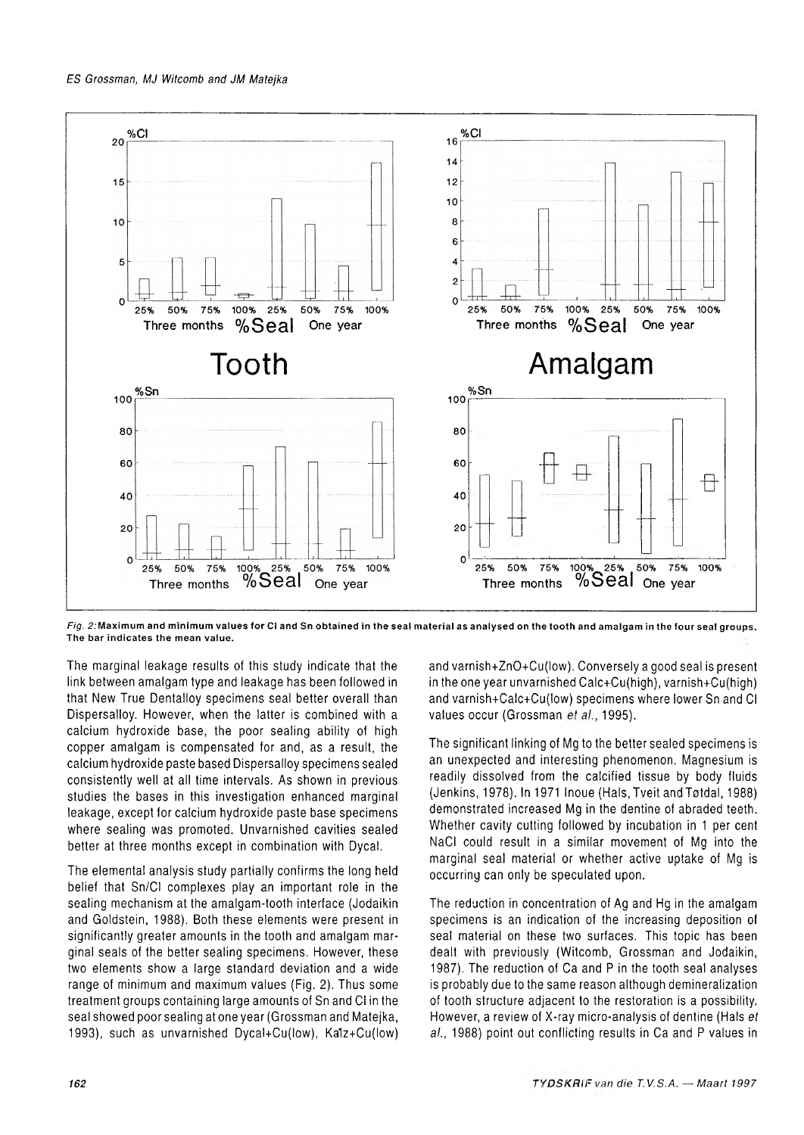

Fig. 2: Maximum and minimum values for CI and Sn obtained in the seal material as analysed on the tooth and amalgam in the four seal groups. The bar indicates the mean value.

The marginal leakage results of this study indicate that the link between amalgam type and leakage has been followed in that New True Dentalloy specimens seal better overall than Dispersalloy. However, when the latter is combined with a calcium hydroxide base, the poor sealing ability of high copper amalgam is compensated for and, as a result, the calcium hydroxide paste based Dispersalloy specimens sealed consistently well at all time intervals. As shown in previous studies the bases in this investigation enhanced marginal leakage, except for calcium hydroxide paste base specimens where sealing was promoted. Unvarnished cavities sealed better at three months except in combination with Dycal.

The elemental analysis study partially confirms the long held belief that Sn/CI complexes play an important role in the sealing mechanism at the amalgam-tooth interface (Jodaikin and Goldstein, 1988). Both these elements were present in significantly greater amounts in the tooth and amalgam marginal seals of the better sealing specimens. However, these two elements show a large standard deviation and a wide range of minimum and maximum values (Fig. 2). Thus some treatment groups containing large amounts of Sn and Cl in the seal showed poor sealing at one year (Grossman and Matejka, 1993), such as unvarnished Dycal+Cu(low), Ka1z+Cu(low) and varnish+ZnO+Cu(low). Conversely a good seal is present in the one year unvarnished Calc+Cu(high), varnish+Cufhigh) and varnish+Calc+Cu(low) specimens where lower Sn and Cl values occur (Grossman et al., 1995).

The significant linking of Mg to the better sealed specimens is an unexpected and interesting phenomenon. Magnesium is readily dissolved from the calcified tissue by body fluids (Jenkins, 1978). In 1971 Inoue (Hals, Tveit andTotdal, 1988) demonstrated increased Mg in the dentine of abraded teeth. Whether cavity cutting followed by incubation in 1 per cent NaCI could result in a similar movement of Mg into the marginal seal material or whether active uptake of Mg is occurring can only be speculated upon.

The reduction in concentration of Ag and Hg in the amalgam specimens is an indication of the increasing deposition of seal material on these two surfaces. This topic has been dealt with previously (Witcomb, Grossman and Jodaikin, 1987). The reduction of Ca and P in the tooth seal analyses is probably due to the same reason although demineralization of tooth structure adjacent to the restoration is a possibility. However, a review of X-ray micro-analysis of dentine (Hals *et at.,* 1988) point out conflicting results in Ca and P values in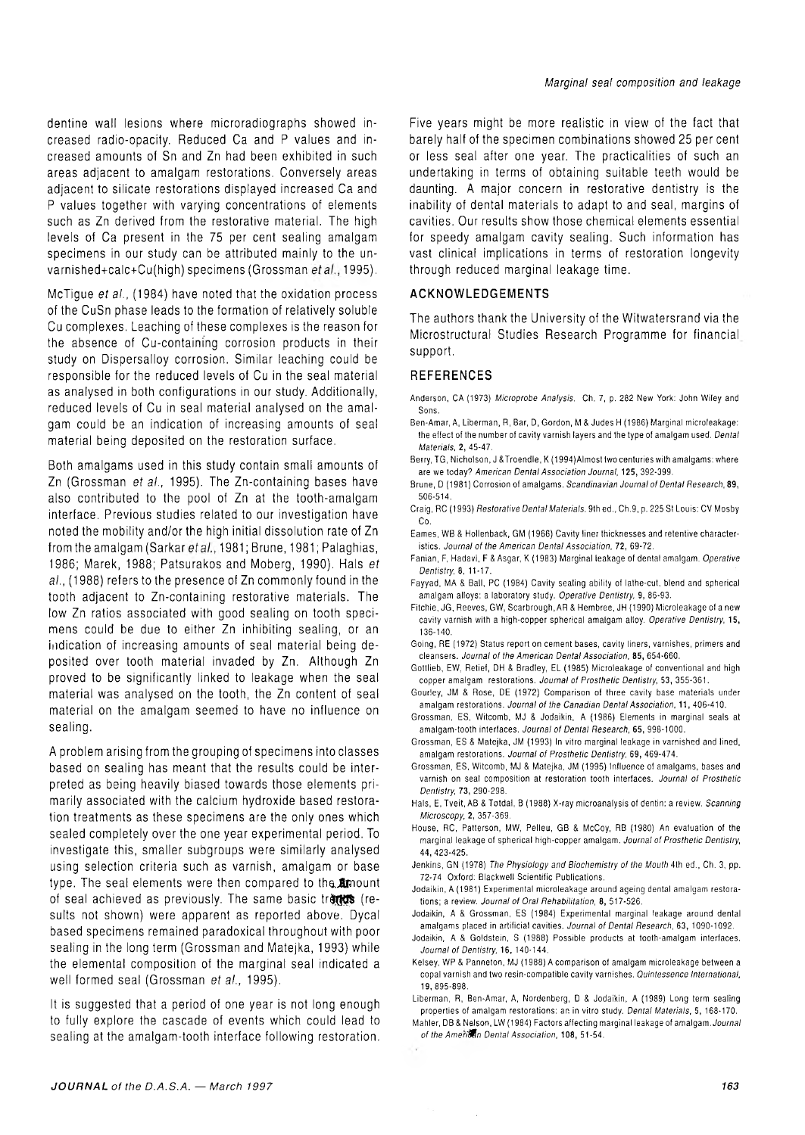dentine wall lesions where microradiographs showed increased radio-opacity. Reduced Ca and P values and increased amounts of Sn and Zn had been exhibited in such areas adjacent to amalgam restorations. Conversely areas adjacent to silicate restorations displayed increased Ca and P values together with varying concentrations of elements such as Zn derived from the restorative material. The high levels of Ca present in the 75 per cent sealing amalgam specimens in our study can be attributed mainly to the unvarnished+calc+Cu(high) specimens (Grossman et al., 1995).

McTigue *et at.,* (1984) have noted that the oxidation process of the CuSn phase leads to the formation of relatively soluble Cu complexes. Leaching of these complexes is the reason for the absence of Cu-containing corrosion products in their study on Dispersalloy corrosion. Similar leaching could be responsible for the reduced levels of Cu in the seal material as analysed in both configurations in our study. Additionally, reduced levels of Cu in seal material analysed on the amalgam could be an indication of increasing amounts of seal material being deposited on the restoration surface.

Both amalgams used in this study contain small amounts of Zn (Grossman *et at.,* 1995). The Zn-containing bases have also contributed to the pool of Zn at the tooth-amalgam interface. Previous studies related to our investigation have noted the mobility and/or the high initial dissolution rate of Zn from the amalgam (Sarkar *etal.,* 1981; Brune, 1981; Palaghias, 1986; Marek, 1988; Patsurakos and Moberg, 1990). Hals *et at.,* (1988) refers to the presence of Zn commonly found in the tooth adjacent to Zn-containing restorative materials. The low Zn ratios associated with good sealing on tooth specimens could be due to either Zn inhibiting sealing, or an indication of increasing amounts of seal material being deposited over tooth material invaded by Zn. Although Zn proved to be significantly linked to leakage when the seal material was analysed on the tooth, the Zn content of seal material on the amalgam seemed to have no influence on sealing.

A problem arising from the grouping of specimens into classes based on sealing has meant that the results could be interpreted as being heavily biased towards those elements primarily associated with the calcium hydroxide based restoration treatments as these specimens are the only ones which sealed completely over the one year experimental period. To investigate this, smaller subgroups were similarly analysed using selection criteria such as varnish, amalgam or base type. The seal elements were then compared to the *finount* of seal achieved as previously. The same basic trends (results not shown) were apparent as reported above. Dycal based specimens remained paradoxical throughout with poor sealing in the long term (Grossman and Matejka, 1993) while the elemental composition of the marginal seal indicated a well formed seal (Grossman *etal.,* 1995).

It is suggested that a period of one year is not long enough to fully explore the cascade of events which could lead to sealing at the amalgam-tooth interface following restoration.

Five years might be more realistic in view of the fact that barely half of the specimen combinations showed 25 per cent or less seal after one year. The practicalities of such an undertaking in terms of obtaining suitable teeth would be daunting. A major concern in restorative dentistry is the inability of dental materials to adapt to and seal, margins of cavities. Our results show those chemical elements essential for speedy amalgam cavity sealing. Such information has vast clinical implications in terms of restoration longevity through reduced marginal leakage time.

#### **ACKNOWLEDGEMENTS**

The authors thank the University of the Witwatersrand via the Microstructural Studies Research Programme for financial support.

#### **REFERENCES**

- Anderson, CA (1973) Microprobe Analysis. Ch. 7, p. 282 New York: John Wiley and Sons.
- Ben-Amar, A, Liberman, R, Bar, D, Gordon, M & Judes H (1986) Marginal microleakage: the effect of the number of cavity varnish layers and the type of amalgam used. *Dental Materials,* 2, 45-47.
- Berry, TG, Nicholson, J & Troendle, K (1994)Almost two centuries with amalgams: where are we today? American Dental Association Journal, 125, 392-399.
- Brune, D (1981) Corrosion of amalgams. *Scandinavian Journal of Dental Research,* 89, 506-514.
- Craig, RC (1993) *Restorative Dental Materials*. 9th ed., Ch.9, p. 225 St Louis: CV Mosby Co.
- Eames, WB & Hollenback, GM (1966) Cavity liner thicknesses and retentive characteristics. Journal of the American Dental Association, 72, 69-72.
- Fanian, F, Hadavi, F & Asgar, K (1983) M arginal leakage of dental amalgam. *Operative Dentistry,* 8, 11-17.
- Fayyad, MA & Ball, PC (1984) Cavity sealing ability of lathe-cut, blend and spherical amalgam alloys: a laboratory study. Operative Dentistry, 9, 86-93.
- Fitchie, JG, Reeves, GW, Scarbrough, AR & Hembree, JH (1990) Microleakage of a new cavity varnish with a high-copper spherical amalgam alloy. *Operative Dentistry,* 15, 136-140.
- Going, RE (1972) Status report on cement bases, cavity liners, varnishes, primers and cleansers. *Journal of the Am erican D ental Association,* 85, 654-660.
- Gottlieb, EW, Retief, DH & Bradley, EL (1985) Microleakage of conventional and high copper amalgam restorations. *Journal of Prosthetic Dentistry,* 53, 355-361.
- Gourley, JM & Rose, DE (1972) Comparison of three cavity base materials under amalgam restorations. *Journal of the Canadian Dental Association,* **11,** 406-410.
- Grossman, ES, Witcomb, MJ & Jodaikin, A (1986) Elements in marginal seals at amalgam-tooth interfaces. Journal of Dental Research, 65, 998-1000.
- Grossman, ES & Matejka, JM (1993) In vitro marginal leakage in varnished and lined, amalgam restorations. *Journal of Prosthetic Dentistry,* 69, 469-474.
- Grossman, ES, Witcomb, MJ & Matejka, JM (1995) Influence of amalgams, bases and varnish on seal composition at restoration tooth interfaces. *Journal of Prosthetic Dentistry,* 73, 290-298.
- Hals, E, Tveit, AB & Totdal, B (1988) X-ray m icroanalysis of dentin: a review. *Scanning Microscopy,* 2, 357-369.
- House, RC, Patterson, MW, Pelleu, GB & McCoy, RB (1980) An evaluation of the marginal leakage of spherical high-copper amalgam. *Journal of Prosthetic Dentistry,* 44,423-425.
- Jenkins, GN (1978) *The Physiology and Biochemistry of the Mouth* 4th ed., Ch. 3, pp. 72-74 Oxford: Blackwell Scientific Publications.
- Jodaikin, A (1981) Experimental microleakage around ageing dental amalgam restorations; a review. *Journal of Oral Rehabilitation*, 8, 517-526.
- Jodaikin, A & Grossman, ES (1984) Experim ental marginal leakage around dental amalgams placed in artificial cavities. *Journal of Dental Research,* **63,** 1090-1092.
- Jodaikin, A & Goldstein, S (1988) Possible products at tooth-amalgam interfaces. *Journal of Dentistry,* 16, 140-144.
- Kelsey, WP & Panneton, MJ (1988) A comparison of amalgam microleakage between a copal varnish and two resin-compatible cavity varnishes. *Quintessence International*, 19,895-898.
- Liberman, R, Ben-Amar, A, Nordenberg, D & Jodaikin, A (1989) Long term sealing properties of amalgam restorations: an in vitro study. *Dental Materials,* 5, 168-170.
- Mahler, DB & Nelson, LW (1984) Factors affecting marginal leakage of amalgam. *Journal of the Americ&n Dental Association,* **108,** 51-54.